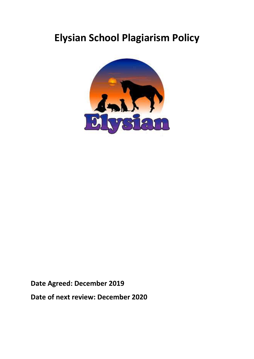## **Elysian School Plagiarism Policy**



**Date Agreed: December 2019**

**Date of next review: December 2020**